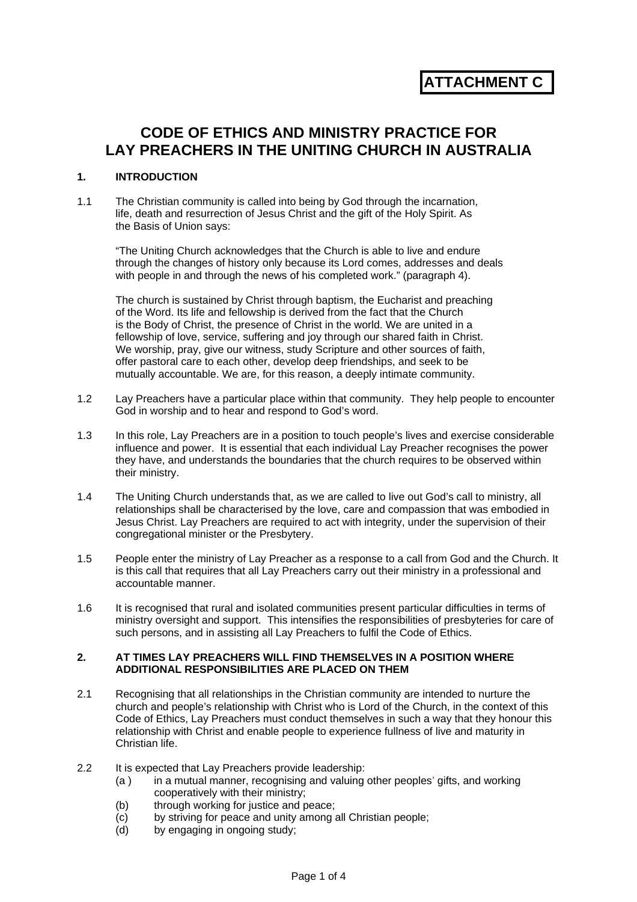# **ATTACHMENT C**

## **CODE OF ETHICS AND MINISTRY PRACTICE FOR LAY PREACHERS IN THE UNITING CHURCH IN AUSTRALIA**

#### **1. INTRODUCTION**

1.1 The Christian community is called into being by God through the incarnation, life, death and resurrection of Jesus Christ and the gift of the Holy Spirit. As the Basis of Union says:

"The Uniting Church acknowledges that the Church is able to live and endure through the changes of history only because its Lord comes, addresses and deals with people in and through the news of his completed work." (paragraph 4).

The church is sustained by Christ through baptism, the Eucharist and preaching of the Word. Its life and fellowship is derived from the fact that the Church is the Body of Christ, the presence of Christ in the world. We are united in a fellowship of love, service, suffering and joy through our shared faith in Christ. We worship, pray, give our witness, study Scripture and other sources of faith, offer pastoral care to each other, develop deep friendships, and seek to be mutually accountable. We are, for this reason, a deeply intimate community.

- 1.2 Lay Preachers have a particular place within that community. They help people to encounter God in worship and to hear and respond to God's word.
- 1.3 In this role, Lay Preachers are in a position to touch people's lives and exercise considerable influence and power. It is essential that each individual Lay Preacher recognises the power they have, and understands the boundaries that the church requires to be observed within their ministry.
- 1.4 The Uniting Church understands that, as we are called to live out God's call to ministry, all relationships shall be characterised by the love, care and compassion that was embodied in Jesus Christ. Lay Preachers are required to act with integrity, under the supervision of their congregational minister or the Presbytery.
- 1.5 People enter the ministry of Lay Preacher as a response to a call from God and the Church. It is this call that requires that all Lay Preachers carry out their ministry in a professional and accountable manner.
- 1.6 It is recognised that rural and isolated communities present particular difficulties in terms of ministry oversight and support. This intensifies the responsibilities of presbyteries for care of such persons, and in assisting all Lay Preachers to fulfil the Code of Ethics.

#### **2. AT TIMES LAY PREACHERS WILL FIND THEMSELVES IN A POSITION WHERE ADDITIONAL RESPONSIBILITIES ARE PLACED ON THEM**

- 2.1 Recognising that all relationships in the Christian community are intended to nurture the church and people's relationship with Christ who is Lord of the Church, in the context of this Code of Ethics, Lay Preachers must conduct themselves in such a way that they honour this relationship with Christ and enable people to experience fullness of live and maturity in Christian life.
- 2.2 It is expected that Lay Preachers provide leadership:
	- (a ) in a mutual manner, recognising and valuing other peoples' gifts, and working cooperatively with their ministry;
	- (b) through working for justice and peace;
	- (c) by striving for peace and unity among all Christian people;
	- (d) by engaging in ongoing study;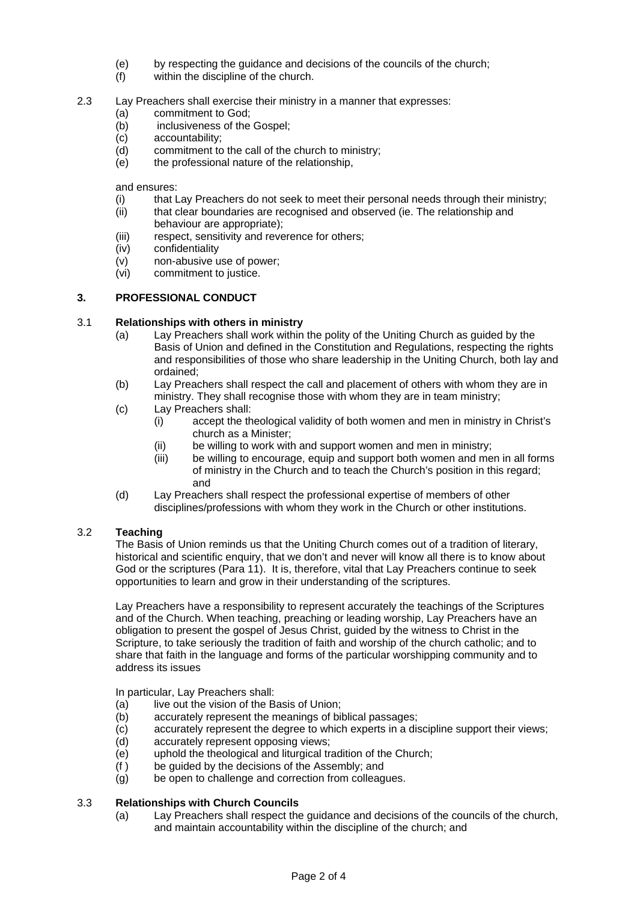- (e) by respecting the guidance and decisions of the councils of the church;
- (f) within the discipline of the church.
- 2.3 Lay Preachers shall exercise their ministry in a manner that expresses:
	- (a) commitment to God;
	- (b) inclusiveness of the Gospel;
	- (c) accountability;
	- (d) commitment to the call of the church to ministry;
	- (e) the professional nature of the relationship,

and ensures:

- (i) that Lay Preachers do not seek to meet their personal needs through their ministry;
- (ii) that clear boundaries are recognised and observed (ie. The relationship and behaviour are appropriate);
- (iii) respect, sensitivity and reverence for others;
- (iv) confidentiality
- (v) non-abusive use of power;
- (vi) commitment to justice.

## **3. PROFESSIONAL CONDUCT**

#### 3.1 **Relationships with others in ministry**

- (a) Lay Preachers shall work within the polity of the Uniting Church as guided by the Basis of Union and defined in the Constitution and Regulations, respecting the rights and responsibilities of those who share leadership in the Uniting Church, both lay and ordained;
- (b) Lay Preachers shall respect the call and placement of others with whom they are in ministry. They shall recognise those with whom they are in team ministry:
- (c) Lay Preachers shall:
	- (i) accept the theological validity of both women and men in ministry in Christ's church as a Minister;
	- (ii) be willing to work with and support women and men in ministry;
	- (iii) be willing to encourage, equip and support both women and men in all forms of ministry in the Church and to teach the Church's position in this regard; and
- (d) Lay Preachers shall respect the professional expertise of members of other disciplines/professions with whom they work in the Church or other institutions.

## 3.2 **Teaching**

The Basis of Union reminds us that the Uniting Church comes out of a tradition of literary, historical and scientific enquiry, that we don't and never will know all there is to know about God or the scriptures (Para 11). It is, therefore, vital that Lay Preachers continue to seek opportunities to learn and grow in their understanding of the scriptures.

Lay Preachers have a responsibility to represent accurately the teachings of the Scriptures and of the Church. When teaching, preaching or leading worship, Lay Preachers have an obligation to present the gospel of Jesus Christ, guided by the witness to Christ in the Scripture, to take seriously the tradition of faith and worship of the church catholic; and to share that faith in the language and forms of the particular worshipping community and to address its issues

In particular, Lay Preachers shall:

- (a) live out the vision of the Basis of Union;
- (b) accurately represent the meanings of biblical passages;
- (c) accurately represent the degree to which experts in a discipline support their views;
- (d) accurately represent opposing views;
- (e) uphold the theological and liturgical tradition of the Church;
- (f ) be guided by the decisions of the Assembly; and
- (g) be open to challenge and correction from colleagues.

## 3.3 **Relationships with Church Councils**

(a) Lay Preachers shall respect the guidance and decisions of the councils of the church, and maintain accountability within the discipline of the church; and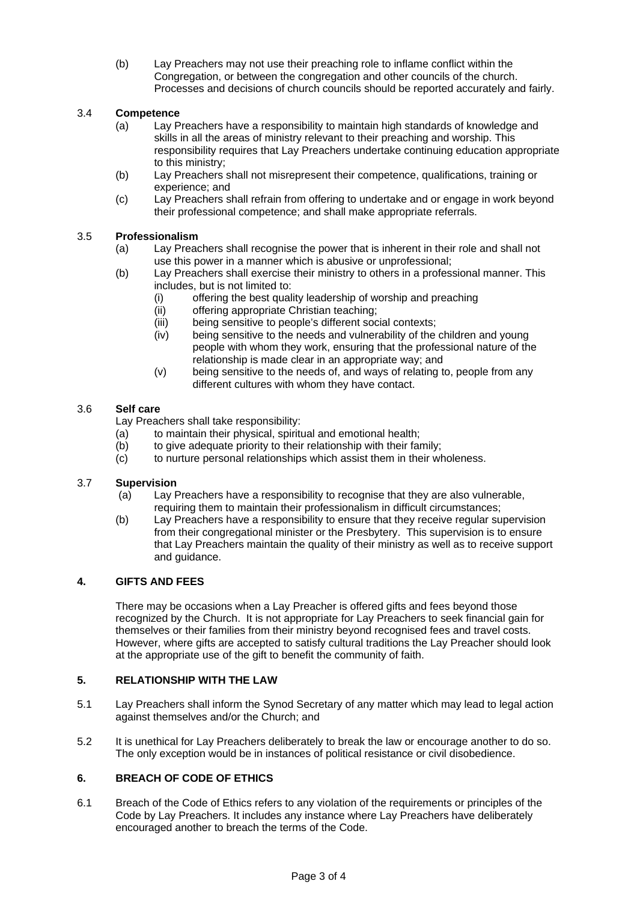(b) Lay Preachers may not use their preaching role to inflame conflict within the Congregation, or between the congregation and other councils of the church. Processes and decisions of church councils should be reported accurately and fairly.

## 3.4 **Competence**

- (a) Lay Preachers have a responsibility to maintain high standards of knowledge and skills in all the areas of ministry relevant to their preaching and worship. This responsibility requires that Lay Preachers undertake continuing education appropriate to this ministry;
- (b) Lay Preachers shall not misrepresent their competence, qualifications, training or experience; and
- (c) Lay Preachers shall refrain from offering to undertake and or engage in work beyond their professional competence; and shall make appropriate referrals.

## 3.5 **Professionalism**

- (a) Lay Preachers shall recognise the power that is inherent in their role and shall not use this power in a manner which is abusive or unprofessional;
- (b) Lay Preachers shall exercise their ministry to others in a professional manner. This includes, but is not limited to:
	- (i) offering the best quality leadership of worship and preaching
	- (ii) offering appropriate Christian teaching;
	- (iii) being sensitive to people's different social contexts;
	- (iv) being sensitive to the needs and vulnerability of the children and young people with whom they work, ensuring that the professional nature of the relationship is made clear in an appropriate way; and
	- (v) being sensitive to the needs of, and ways of relating to, people from any different cultures with whom they have contact.

#### 3.6 **Self care**

Lay Preachers shall take responsibility:

- (a) to maintain their physical, spiritual and emotional health;
- (b) to give adequate priority to their relationship with their family;
- (c) to nurture personal relationships which assist them in their wholeness.

#### 3.7 **Supervision**

- (a) Lay Preachers have a responsibility to recognise that they are also vulnerable, requiring them to maintain their professionalism in difficult circumstances;
- (b) Lay Preachers have a responsibility to ensure that they receive regular supervision from their congregational minister or the Presbytery. This supervision is to ensure that Lay Preachers maintain the quality of their ministry as well as to receive support and guidance.

#### **4. GIFTS AND FEES**

There may be occasions when a Lay Preacher is offered gifts and fees beyond those recognized by the Church. It is not appropriate for Lay Preachers to seek financial gain for themselves or their families from their ministry beyond recognised fees and travel costs. However, where gifts are accepted to satisfy cultural traditions the Lay Preacher should look at the appropriate use of the gift to benefit the community of faith.

#### **5. RELATIONSHIP WITH THE LAW**

- 5.1 Lay Preachers shall inform the Synod Secretary of any matter which may lead to legal action against themselves and/or the Church; and
- 5.2 It is unethical for Lay Preachers deliberately to break the law or encourage another to do so. The only exception would be in instances of political resistance or civil disobedience.

## **6. BREACH OF CODE OF ETHICS**

6.1 Breach of the Code of Ethics refers to any violation of the requirements or principles of the Code by Lay Preachers. It includes any instance where Lay Preachers have deliberately encouraged another to breach the terms of the Code.